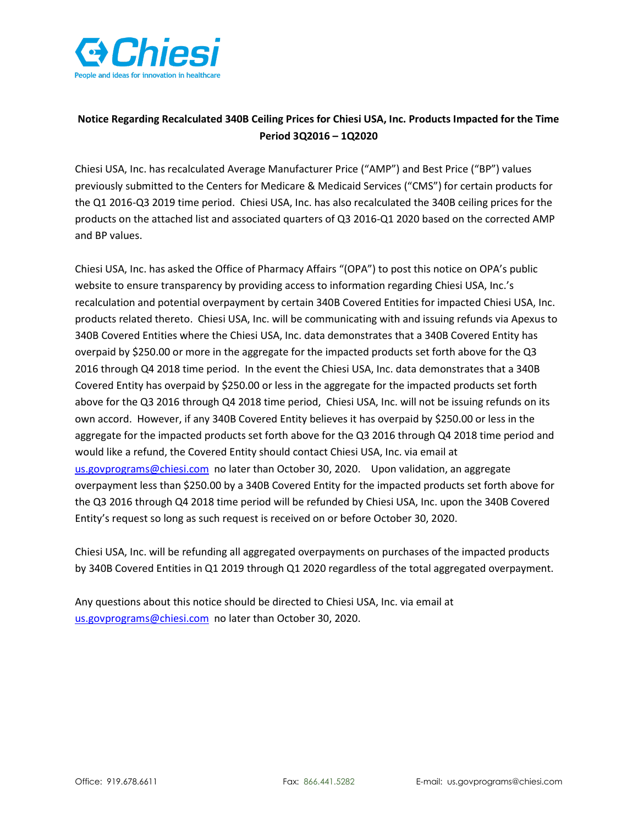

## Notice Regarding Recalculated 340B Ceiling Prices for Chiesi USA, Inc. Products Impacted for the Time Period 3Q2016 – 1Q2020

Chiesi USA, Inc. has recalculated Average Manufacturer Price ("AMP") and Best Price ("BP") values previously submitted to the Centers for Medicare & Medicaid Services ("CMS") for certain products for the Q1 2016-Q3 2019 time period. Chiesi USA, Inc. has also recalculated the 340B ceiling prices for the products on the attached list and associated quarters of Q3 2016-Q1 2020 based on the corrected AMP and BP values.

Chiesi USA, Inc. has asked the Office of Pharmacy Affairs "(OPA") to post this notice on OPA's public website to ensure transparency by providing access to information regarding Chiesi USA, Inc.'s recalculation and potential overpayment by certain 340B Covered Entities for impacted Chiesi USA, Inc. products related thereto. Chiesi USA, Inc. will be communicating with and issuing refunds via Apexus to 340B Covered Entities where the Chiesi USA, Inc. data demonstrates that a 340B Covered Entity has overpaid by \$250.00 or more in the aggregate for the impacted products set forth above for the Q3 2016 through Q4 2018 time period. In the event the Chiesi USA, Inc. data demonstrates that a 340B Covered Entity has overpaid by \$250.00 or less in the aggregate for the impacted products set forth above for the Q3 2016 through Q4 2018 time period, Chiesi USA, Inc. will not be issuing refunds on its own accord. However, if any 340B Covered Entity believes it has overpaid by \$250.00 or less in the aggregate for the impacted products set forth above for the Q3 2016 through Q4 2018 time period and would like a refund, the Covered Entity should contact Chiesi USA, Inc. via email at us.govprograms@chiesi.com no later than October 30, 2020. Upon validation, an aggregate overpayment less than \$250.00 by a 340B Covered Entity for the impacted products set forth above for the Q3 2016 through Q4 2018 time period will be refunded by Chiesi USA, Inc. upon the 340B Covered Entity's request so long as such request is received on or before October 30, 2020.

Chiesi USA, Inc. will be refunding all aggregated overpayments on purchases of the impacted products by 340B Covered Entities in Q1 2019 through Q1 2020 regardless of the total aggregated overpayment.

Any questions about this notice should be directed to Chiesi USA, Inc. via email at us.govprograms@chiesi.com no later than October 30, 2020.